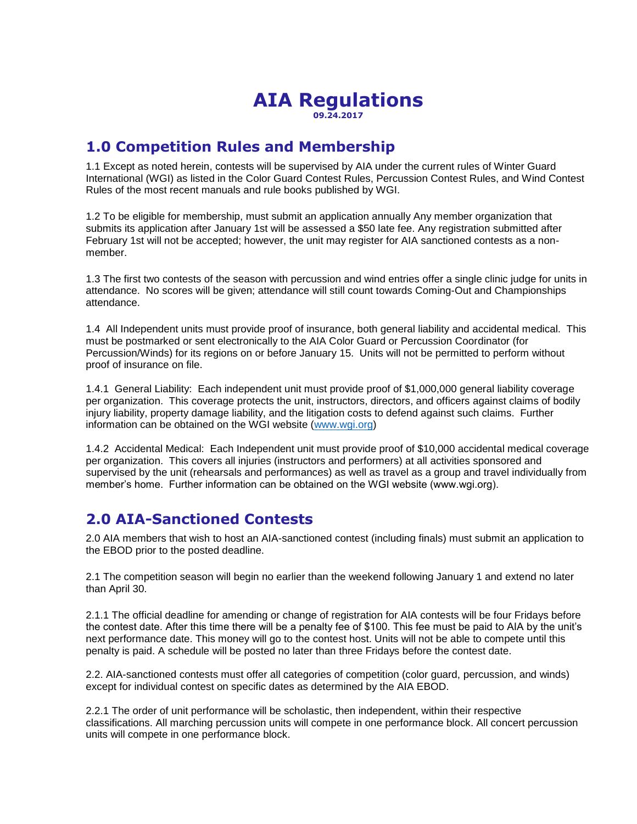#### **AIA Regulations 09.24.2017**

# **1.0 Competition Rules and Membership**

1.1 Except as noted herein, contests will be supervised by AIA under the current rules of Winter Guard International (WGI) as listed in the Color Guard Contest Rules, Percussion Contest Rules, and Wind Contest Rules of the most recent manuals and rule books published by WGI.

1.2 To be eligible for membership, must submit an application annually Any member organization that submits its application after January 1st will be assessed a \$50 late fee. Any registration submitted after February 1st will not be accepted; however, the unit may register for AIA sanctioned contests as a nonmember.

1.3 The first two contests of the season with percussion and wind entries offer a single clinic judge for units in attendance. No scores will be given; attendance will still count towards Coming-Out and Championships attendance.

1.4 All Independent units must provide proof of insurance, both general liability and accidental medical. This must be postmarked or sent electronically to the AIA Color Guard or Percussion Coordinator (for Percussion/Winds) for its regions on or before January 15. Units will not be permitted to perform without proof of insurance on file.

1.4.1 General Liability: Each independent unit must provide proof of \$1,000,000 general liability coverage per organization. This coverage protects the unit, instructors, directors, and officers against claims of bodily injury liability, property damage liability, and the litigation costs to defend against such claims. Further information can be obtained on the WGI website [\(www.wgi.org\)](http://www.wgi.org/)

1.4.2 Accidental Medical: Each Independent unit must provide proof of \$10,000 accidental medical coverage per organization. This covers all injuries (instructors and performers) at all activities sponsored and supervised by the unit (rehearsals and performances) as well as travel as a group and travel individually from member's home. Further information can be obtained on the WGI website (www.wgi.org).

# **2.0 AIA-Sanctioned Contests**

2.0 AIA members that wish to host an AIA-sanctioned contest (including finals) must submit an application to the EBOD prior to the posted deadline.

2.1 The competition season will begin no earlier than the weekend following January 1 and extend no later than April 30.

2.1.1 The official deadline for amending or change of registration for AIA contests will be four Fridays before the contest date. After this time there will be a penalty fee of \$100. This fee must be paid to AIA by the unit's next performance date. This money will go to the contest host. Units will not be able to compete until this penalty is paid. A schedule will be posted no later than three Fridays before the contest date.

2.2. AIA-sanctioned contests must offer all categories of competition (color guard, percussion, and winds) except for individual contest on specific dates as determined by the AIA EBOD.

2.2.1 The order of unit performance will be scholastic, then independent, within their respective classifications. All marching percussion units will compete in one performance block. All concert percussion units will compete in one performance block.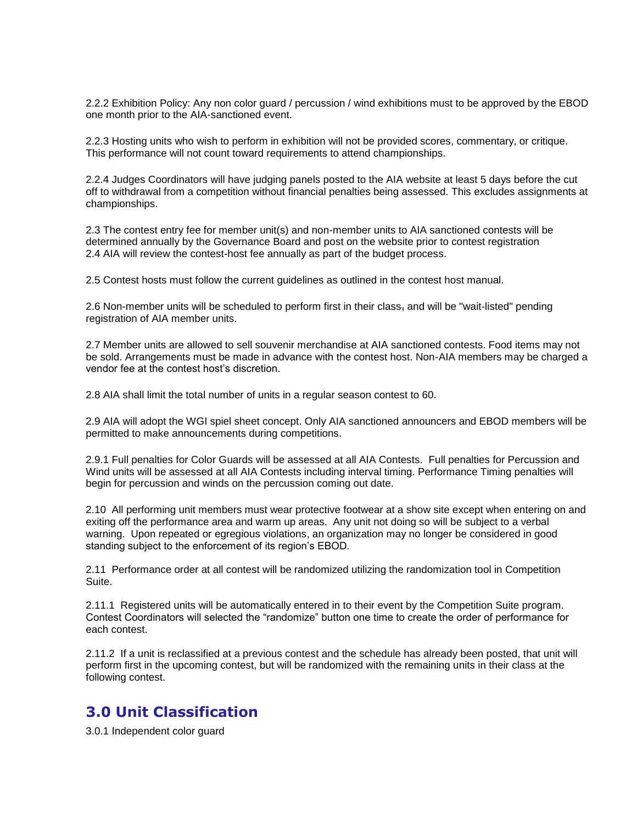2.2.2 Exhibition Policy: Any non color guard / percussion / wind exhibitions must to be approved by the EBOD one month prior to the AIA-sanctioned event.

2.2.3 Hosting units who wish to perform in exhibition will not be provided scores, commentary, or critique. This performance will not count toward requirements to attend championships.

2.2.4 Judges Coordinators will have judging panels posted to the AIA website at least 5 days before the cut off to withdrawal from a competition without financial penalties being assessed. This excludes assignments at championships.

2.3 The contest entry fee for member unit(s) and non-member units to AIA sanctioned contests will be determined annually by the Governance Board and post on the website prior to contest registration 2.4 AIA will review the contest-host fee annually as part of the budget process.

2.5 Contest hosts must follow the current guidelines as outlined in the contest host manual.

2.6 Non-member units will be scheduled to perform first in their class<sub></sub> and will be "wait-listed" pending registration of AIA member units.

2.7 Member units are allowed to sell souvenir merchandise at AIA sanctioned contests. Food items may not be sold. Arrangements must be made in advance with the contest host. Non-AIA members may be charged a vendor fee at the contest host's discretion.

2.8 AIA shall limit the total number of units in a regular season contest to 60.

2.9 AIA will adopt the WGI spiel sheet concept. Only AIA sanctioned announcers and EBOD members will be permitted to make announcements during competitions.

2.9.1 Full penalties for Color Guards will be assessed at all AIA Contests. Full penalties for Percussion and Wind units will be assessed at all AIA Contests including interval timing. Performance Timing penalties will begin for percussion and winds on the percussion coming out date.

2.10 All performing unit members must wear protective footwear at a show site except when entering on and exiting off the performance area and warm up areas. Any unit not doing so will be subject to a verbal warning. Upon repeated or egregious violations, an organization may no longer be considered in good standing subject to the enforcement of its region's EBOD.

2.11 Performance order at all contest will be randomized utilizing the randomization tool in Competition Suite.

2.11.1 Registered units will be automatically entered in to their event by the Competition Suite program. Contest Coordinators will selected the "randomize" button one time to create the order of performance for each contest.

2.11.2 If a unit is reclassified at a previous contest and the schedule has already been posted, that unit will perform first in the upcoming contest, but will be randomized with the remaining units in their class at the following contest.

### **3.0 Unit Classification**

3.0.1 Independent color guard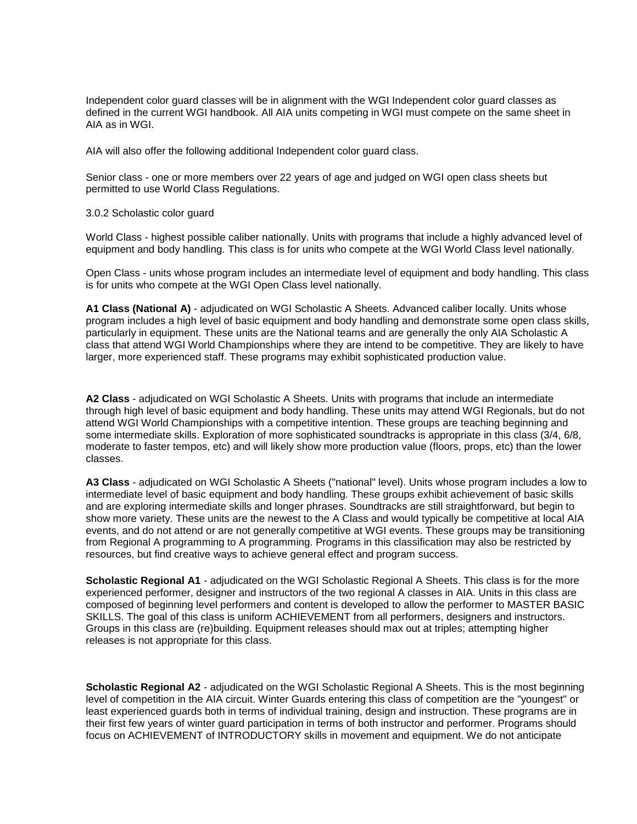Independent color guard classes will be in alignment with the WGI Independent color guard classes as defined in the current WGI handbook. All AIA units competing in WGI must compete on the same sheet in AIA as in WGI.

AIA will also offer the following additional Independent color guard class.

Senior class - one or more members over 22 years of age and judged on WGI open class sheets but permitted to use World Class Regulations.

3.0.2 Scholastic color guard

World Class - highest possible caliber nationally. Units with programs that include a highly advanced level of equipment and body handling. This class is for units who compete at the WGI World Class level nationally.

Open Class - units whose program includes an intermediate level of equipment and body handling. This class is for units who compete at the WGI Open Class level nationally.

**A1 Class (National A)** - adjudicated on WGI Scholastic A Sheets. Advanced caliber locally. Units whose program includes a high level of basic equipment and body handling and demonstrate some open class skills, particularly in equipment. These units are the National teams and are generally the only AIA Scholastic A class that attend WGI World Championships where they are intend to be competitive. They are likely to have larger, more experienced staff. These programs may exhibit sophisticated production value.

**A2 Class** - adjudicated on WGI Scholastic A Sheets. Units with programs that include an intermediate through high level of basic equipment and body handling. These units may attend WGI Regionals, but do not attend WGI World Championships with a competitive intention. These groups are teaching beginning and some intermediate skills. Exploration of more sophisticated soundtracks is appropriate in this class (3/4, 6/8, moderate to faster tempos, etc) and will likely show more production value (floors, props, etc) than the lower classes.

**A3 Class** - adjudicated on WGI Scholastic A Sheets ("national" level). Units whose program includes a low to intermediate level of basic equipment and body handling. These groups exhibit achievement of basic skills and are exploring intermediate skills and longer phrases. Soundtracks are still straightforward, but begin to show more variety. These units are the newest to the A Class and would typically be competitive at local AIA events, and do not attend or are not generally competitive at WGI events. These groups may be transitioning from Regional A programming to A programming. Programs in this classification may also be restricted by resources, but find creative ways to achieve general effect and program success.

**Scholastic Regional A1** - adjudicated on the WGI Scholastic Regional A Sheets. This class is for the more experienced performer, designer and instructors of the two regional A classes in AIA. Units in this class are composed of beginning level performers and content is developed to allow the performer to MASTER BASIC SKILLS. The goal of this class is uniform ACHIEVEMENT from all performers, designers and instructors. Groups in this class are (re)building. Equipment releases should max out at triples; attempting higher releases is not appropriate for this class.

**Scholastic Regional A2** - adjudicated on the WGI Scholastic Regional A Sheets. This is the most beginning level of competition in the AIA circuit. Winter Guards entering this class of competition are the "youngest" or least experienced guards both in terms of individual training, design and instruction. These programs are in their first few years of winter guard participation in terms of both instructor and performer. Programs should focus on ACHIEVEMENT of INTRODUCTORY skills in movement and equipment. We do not anticipate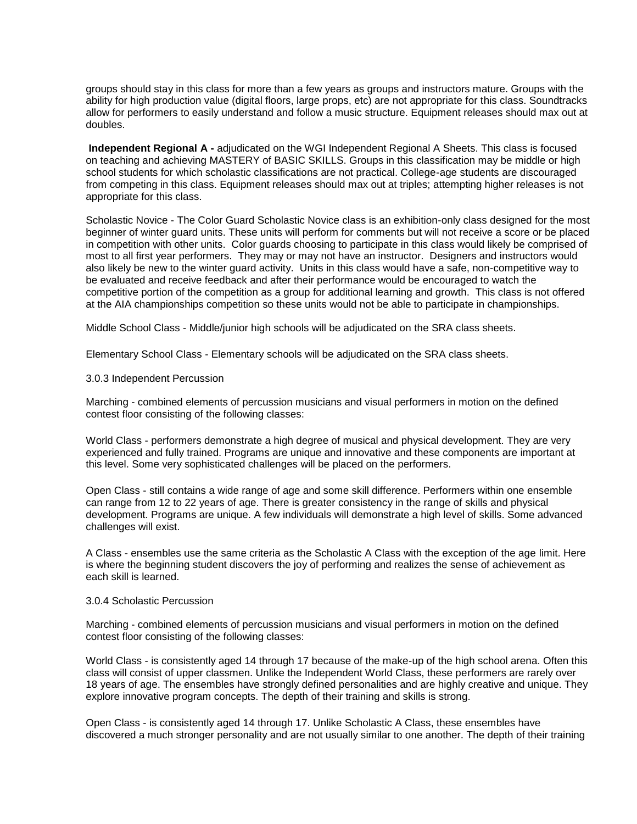groups should stay in this class for more than a few years as groups and instructors mature. Groups with the ability for high production value (digital floors, large props, etc) are not appropriate for this class. Soundtracks allow for performers to easily understand and follow a music structure. Equipment releases should max out at doubles.

**Independent Regional A -** adjudicated on the WGI Independent Regional A Sheets. This class is focused on teaching and achieving MASTERY of BASIC SKILLS. Groups in this classification may be middle or high school students for which scholastic classifications are not practical. College-age students are discouraged from competing in this class. Equipment releases should max out at triples; attempting higher releases is not appropriate for this class.

Scholastic Novice - The Color Guard Scholastic Novice class is an exhibition-only class designed for the most beginner of winter guard units. These units will perform for comments but will not receive a score or be placed in competition with other units. Color guards choosing to participate in this class would likely be comprised of most to all first year performers. They may or may not have an instructor. Designers and instructors would also likely be new to the winter guard activity. Units in this class would have a safe, non-competitive way to be evaluated and receive feedback and after their performance would be encouraged to watch the competitive portion of the competition as a group for additional learning and growth. This class is not offered at the AIA championships competition so these units would not be able to participate in championships.

Middle School Class - Middle/junior high schools will be adjudicated on the SRA class sheets.

Elementary School Class - Elementary schools will be adjudicated on the SRA class sheets.

#### 3.0.3 Independent Percussion

Marching - combined elements of percussion musicians and visual performers in motion on the defined contest floor consisting of the following classes:

World Class - performers demonstrate a high degree of musical and physical development. They are very experienced and fully trained. Programs are unique and innovative and these components are important at this level. Some very sophisticated challenges will be placed on the performers.

Open Class - still contains a wide range of age and some skill difference. Performers within one ensemble can range from 12 to 22 years of age. There is greater consistency in the range of skills and physical development. Programs are unique. A few individuals will demonstrate a high level of skills. Some advanced challenges will exist.

A Class - ensembles use the same criteria as the Scholastic A Class with the exception of the age limit. Here is where the beginning student discovers the joy of performing and realizes the sense of achievement as each skill is learned.

#### 3.0.4 Scholastic Percussion

Marching - combined elements of percussion musicians and visual performers in motion on the defined contest floor consisting of the following classes:

World Class - is consistently aged 14 through 17 because of the make-up of the high school arena. Often this class will consist of upper classmen. Unlike the Independent World Class, these performers are rarely over 18 years of age. The ensembles have strongly defined personalities and are highly creative and unique. They explore innovative program concepts. The depth of their training and skills is strong.

Open Class - is consistently aged 14 through 17. Unlike Scholastic A Class, these ensembles have discovered a much stronger personality and are not usually similar to one another. The depth of their training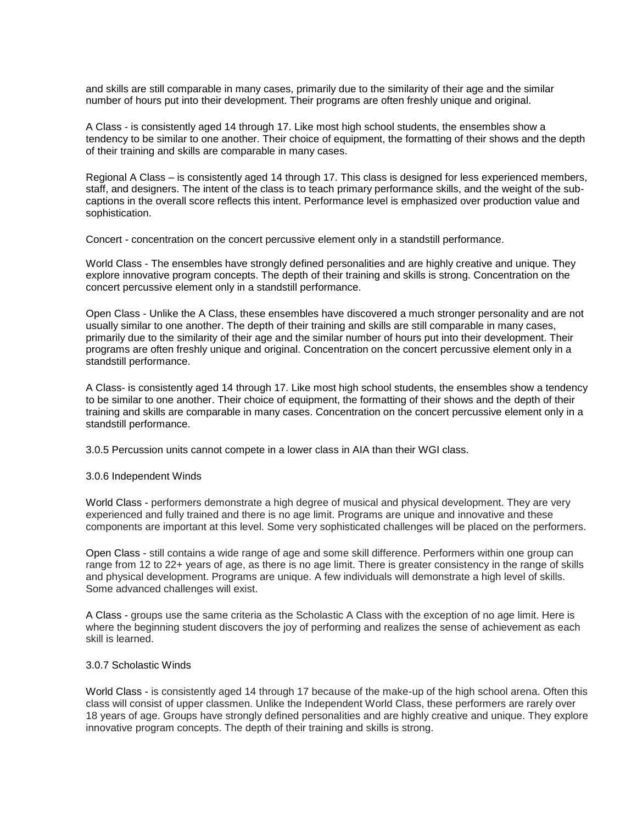and skills are still comparable in many cases, primarily due to the similarity of their age and the similar number of hours put into their development. Their programs are often freshly unique and original.

A Class - is consistently aged 14 through 17. Like most high school students, the ensembles show a tendency to be similar to one another. Their choice of equipment, the formatting of their shows and the depth of their training and skills are comparable in many cases.

Regional A Class – is consistently aged 14 through 17. This class is designed for less experienced members, staff, and designers. The intent of the class is to teach primary performance skills, and the weight of the subcaptions in the overall score reflects this intent. Performance level is emphasized over production value and sophistication.

Concert - concentration on the concert percussive element only in a standstill performance.

World Class - The ensembles have strongly defined personalities and are highly creative and unique. They explore innovative program concepts. The depth of their training and skills is strong. Concentration on the concert percussive element only in a standstill performance.

Open Class - Unlike the A Class, these ensembles have discovered a much stronger personality and are not usually similar to one another. The depth of their training and skills are still comparable in many cases, primarily due to the similarity of their age and the similar number of hours put into their development. Their programs are often freshly unique and original. Concentration on the concert percussive element only in a standstill performance.

A Class- is consistently aged 14 through 17. Like most high school students, the ensembles show a tendency to be similar to one another. Their choice of equipment, the formatting of their shows and the depth of their training and skills are comparable in many cases. Concentration on the concert percussive element only in a standstill performance.

3.0.5 Percussion units cannot compete in a lower class in AIA than their WGI class.

3.0.6 Independent Winds

World Class - performers demonstrate a high degree of musical and physical development. They are very experienced and fully trained and there is no age limit. Programs are unique and innovative and these components are important at this level. Some very sophisticated challenges will be placed on the performers.

Open Class - still contains a wide range of age and some skill difference. Performers within one group can range from 12 to 22+ years of age, as there is no age limit. There is greater consistency in the range of skills and physical development. Programs are unique. A few individuals will demonstrate a high level of skills. Some advanced challenges will exist.

A Class - groups use the same criteria as the Scholastic A Class with the exception of no age limit. Here is where the beginning student discovers the joy of performing and realizes the sense of achievement as each skill is learned.

#### 3.0.7 Scholastic Winds

World Class - is consistently aged 14 through 17 because of the make-up of the high school arena. Often this class will consist of upper classmen. Unlike the Independent World Class, these performers are rarely over 18 years of age. Groups have strongly defined personalities and are highly creative and unique. They explore innovative program concepts. The depth of their training and skills is strong.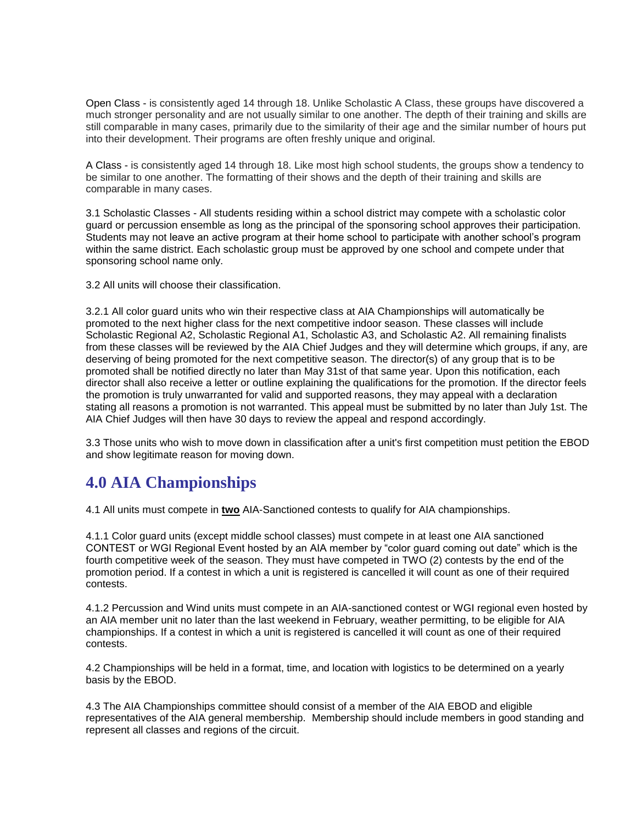Open Class - is consistently aged 14 through 18. Unlike Scholastic A Class, these groups have discovered a much stronger personality and are not usually similar to one another. The depth of their training and skills are still comparable in many cases, primarily due to the similarity of their age and the similar number of hours put into their development. Their programs are often freshly unique and original.

A Class - is consistently aged 14 through 18. Like most high school students, the groups show a tendency to be similar to one another. The formatting of their shows and the depth of their training and skills are comparable in many cases.

3.1 Scholastic Classes - All students residing within a school district may compete with a scholastic color guard or percussion ensemble as long as the principal of the sponsoring school approves their participation. Students may not leave an active program at their home school to participate with another school's program within the same district. Each scholastic group must be approved by one school and compete under that sponsoring school name only.

3.2 All units will choose their classification.

3.2.1 All color guard units who win their respective class at AIA Championships will automatically be promoted to the next higher class for the next competitive indoor season. These classes will include Scholastic Regional A2, Scholastic Regional A1, Scholastic A3, and Scholastic A2. All remaining finalists from these classes will be reviewed by the AIA Chief Judges and they will determine which groups, if any, are deserving of being promoted for the next competitive season. The director(s) of any group that is to be promoted shall be notified directly no later than May 31st of that same year. Upon this notification, each director shall also receive a letter or outline explaining the qualifications for the promotion. If the director feels the promotion is truly unwarranted for valid and supported reasons, they may appeal with a declaration stating all reasons a promotion is not warranted. This appeal must be submitted by no later than July 1st. The AIA Chief Judges will then have 30 days to review the appeal and respond accordingly.

3.3 Those units who wish to move down in classification after a unit's first competition must petition the EBOD and show legitimate reason for moving down.

# **4.0 AIA Championships**

4.1 All units must compete in **two** AIA-Sanctioned contests to qualify for AIA championships.

4.1.1 Color guard units (except middle school classes) must compete in at least one AIA sanctioned CONTEST or WGI Regional Event hosted by an AIA member by "color guard coming out date" which is the fourth competitive week of the season. They must have competed in TWO (2) contests by the end of the promotion period. If a contest in which a unit is registered is cancelled it will count as one of their required contests.

4.1.2 Percussion and Wind units must compete in an AIA-sanctioned contest or WGI regional even hosted by an AIA member unit no later than the last weekend in February, weather permitting, to be eligible for AIA championships. If a contest in which a unit is registered is cancelled it will count as one of their required contests.

4.2 Championships will be held in a format, time, and location with logistics to be determined on a yearly basis by the EBOD.

4.3 The AIA Championships committee should consist of a member of the AIA EBOD and eligible representatives of the AIA general membership. Membership should include members in good standing and represent all classes and regions of the circuit.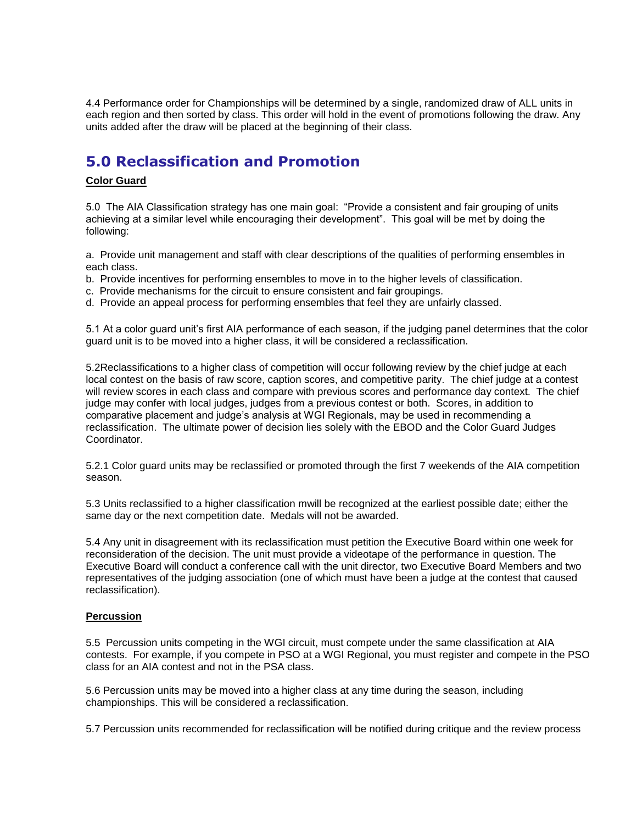4.4 Performance order for Championships will be determined by a single, randomized draw of ALL units in each region and then sorted by class. This order will hold in the event of promotions following the draw. Any units added after the draw will be placed at the beginning of their class.

# **5.0 Reclassification and Promotion**

#### **Color Guard**

5.0 The AIA Classification strategy has one main goal: "Provide a consistent and fair grouping of units achieving at a similar level while encouraging their development". This goal will be met by doing the following:

a. Provide unit management and staff with clear descriptions of the qualities of performing ensembles in each class.

- b. Provide incentives for performing ensembles to move in to the higher levels of classification.
- c. Provide mechanisms for the circuit to ensure consistent and fair groupings.
- d. Provide an appeal process for performing ensembles that feel they are unfairly classed.

5.1 At a color guard unit's first AIA performance of each season, if the judging panel determines that the color guard unit is to be moved into a higher class, it will be considered a reclassification.

5.2Reclassifications to a higher class of competition will occur following review by the chief judge at each local contest on the basis of raw score, caption scores, and competitive parity. The chief judge at a contest will review scores in each class and compare with previous scores and performance day context. The chief judge may confer with local judges, judges from a previous contest or both. Scores, in addition to comparative placement and judge's analysis at WGI Regionals, may be used in recommending a reclassification. The ultimate power of decision lies solely with the EBOD and the Color Guard Judges Coordinator.

5.2.1 Color guard units may be reclassified or promoted through the first 7 weekends of the AIA competition season.

5.3 Units reclassified to a higher classification mwill be recognized at the earliest possible date; either the same day or the next competition date. Medals will not be awarded.

5.4 Any unit in disagreement with its reclassification must petition the Executive Board within one week for reconsideration of the decision. The unit must provide a videotape of the performance in question. The Executive Board will conduct a conference call with the unit director, two Executive Board Members and two representatives of the judging association (one of which must have been a judge at the contest that caused reclassification).

#### **Percussion**

5.5 Percussion units competing in the WGI circuit, must compete under the same classification at AIA contests. For example, if you compete in PSO at a WGI Regional, you must register and compete in the PSO class for an AIA contest and not in the PSA class.

5.6 Percussion units may be moved into a higher class at any time during the season, including championships. This will be considered a reclassification.

5.7 Percussion units recommended for reclassification will be notified during critique and the review process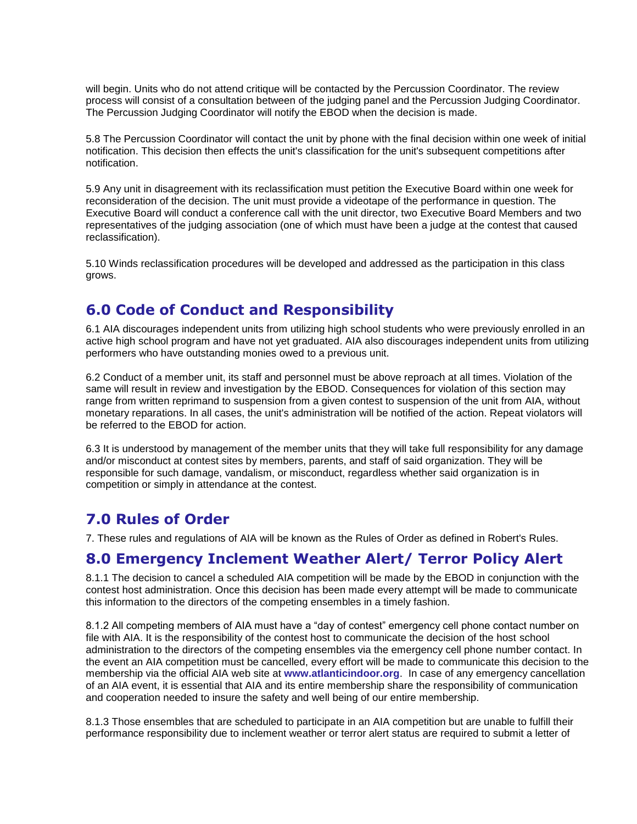will begin. Units who do not attend critique will be contacted by the Percussion Coordinator. The review process will consist of a consultation between of the judging panel and the Percussion Judging Coordinator. The Percussion Judging Coordinator will notify the EBOD when the decision is made.

5.8 The Percussion Coordinator will contact the unit by phone with the final decision within one week of initial notification. This decision then effects the unit's classification for the unit's subsequent competitions after notification.

5.9 Any unit in disagreement with its reclassification must petition the Executive Board within one week for reconsideration of the decision. The unit must provide a videotape of the performance in question. The Executive Board will conduct a conference call with the unit director, two Executive Board Members and two representatives of the judging association (one of which must have been a judge at the contest that caused reclassification).

5.10 Winds reclassification procedures will be developed and addressed as the participation in this class grows.

## **6.0 Code of Conduct and Responsibility**

6.1 AIA discourages independent units from utilizing high school students who were previously enrolled in an active high school program and have not yet graduated. AIA also discourages independent units from utilizing performers who have outstanding monies owed to a previous unit.

6.2 Conduct of a member unit, its staff and personnel must be above reproach at all times. Violation of the same will result in review and investigation by the EBOD. Consequences for violation of this section may range from written reprimand to suspension from a given contest to suspension of the unit from AIA, without monetary reparations. In all cases, the unit's administration will be notified of the action. Repeat violators will be referred to the EBOD for action.

6.3 It is understood by management of the member units that they will take full responsibility for any damage and/or misconduct at contest sites by members, parents, and staff of said organization. They will be responsible for such damage, vandalism, or misconduct, regardless whether said organization is in competition or simply in attendance at the contest.

# **7.0 Rules of Order**

7. These rules and regulations of AIA will be known as the Rules of Order as defined in Robert's Rules.

# **8.0 Emergency Inclement Weather Alert/ Terror Policy Alert**

8.1.1 The decision to cancel a scheduled AIA competition will be made by the EBOD in conjunction with the contest host administration. Once this decision has been made every attempt will be made to communicate this information to the directors of the competing ensembles in a timely fashion.

8.1.2 All competing members of AIA must have a "day of contest" emergency cell phone contact number on file with AIA. It is the responsibility of the contest host to communicate the decision of the host school administration to the directors of the competing ensembles via the emergency cell phone number contact. In the event an AIA competition must be cancelled, every effort will be made to communicate this decision to the membership via the official AIA web site at **[www.atlanticindoor.org](http://www.atlanticindoor.org/)**. In case of any emergency cancellation of an AIA event, it is essential that AIA and its entire membership share the responsibility of communication and cooperation needed to insure the safety and well being of our entire membership.

8.1.3 Those ensembles that are scheduled to participate in an AIA competition but are unable to fulfill their performance responsibility due to inclement weather or terror alert status are required to submit a letter of